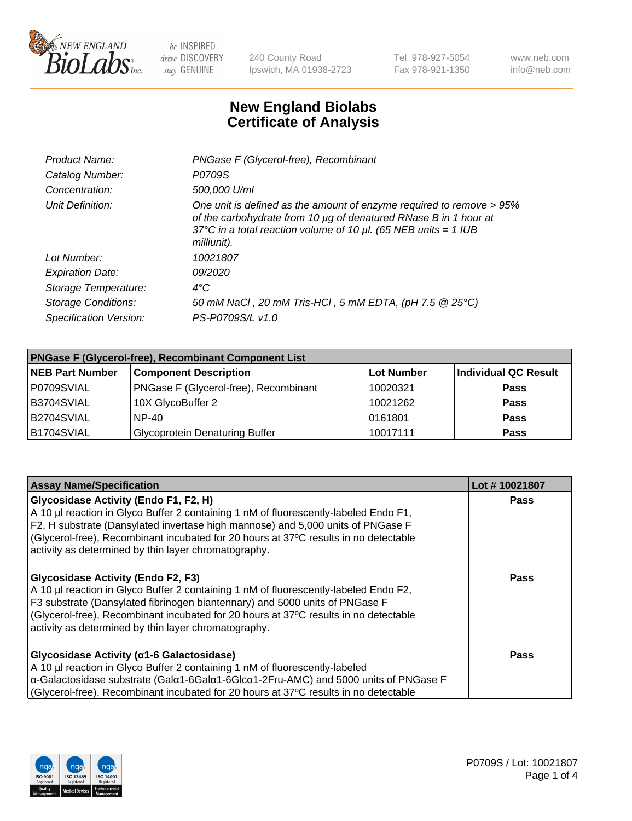

240 County Road Ipswich, MA 01938-2723 Tel 978-927-5054 Fax 978-921-1350 www.neb.com info@neb.com

## **New England Biolabs Certificate of Analysis**

| Product Name:              | PNGase F (Glycerol-free), Recombinant                                                                                                                                                                                           |
|----------------------------|---------------------------------------------------------------------------------------------------------------------------------------------------------------------------------------------------------------------------------|
| Catalog Number:            | P0709S                                                                                                                                                                                                                          |
| Concentration:             | 500,000 U/ml                                                                                                                                                                                                                    |
| Unit Definition:           | One unit is defined as the amount of enzyme required to remove > 95%<br>of the carbohydrate from 10 µg of denatured RNase B in 1 hour at<br>37°C in a total reaction volume of 10 $\mu$ l. (65 NEB units = 1 IUB<br>milliunit). |
| Lot Number:                | 10021807                                                                                                                                                                                                                        |
| <b>Expiration Date:</b>    | 09/2020                                                                                                                                                                                                                         |
| Storage Temperature:       | $4^{\circ}$ C                                                                                                                                                                                                                   |
| <b>Storage Conditions:</b> | 50 mM NaCl, 20 mM Tris-HCl, 5 mM EDTA, (pH 7.5 @ 25°C)                                                                                                                                                                          |
| Specification Version:     | PS-P0709S/L v1.0                                                                                                                                                                                                                |

| <b>PNGase F (Glycerol-free), Recombinant Component List</b> |                                       |                   |                      |  |
|-------------------------------------------------------------|---------------------------------------|-------------------|----------------------|--|
| <b>NEB Part Number</b>                                      | <b>Component Description</b>          | <b>Lot Number</b> | Individual QC Result |  |
| P0709SVIAL                                                  | PNGase F (Glycerol-free), Recombinant | 10020321          | <b>Pass</b>          |  |
| B3704SVIAL                                                  | 10X GlycoBuffer 2                     | 10021262          | <b>Pass</b>          |  |
| B2704SVIAL                                                  | <b>NP-40</b>                          | 0161801           | <b>Pass</b>          |  |
| B1704SVIAL                                                  | <b>Glycoprotein Denaturing Buffer</b> | 10017111          | <b>Pass</b>          |  |

| <b>Assay Name/Specification</b>                                                                                                                                                                                                                                                                                                                                  | Lot #10021807 |
|------------------------------------------------------------------------------------------------------------------------------------------------------------------------------------------------------------------------------------------------------------------------------------------------------------------------------------------------------------------|---------------|
| Glycosidase Activity (Endo F1, F2, H)<br>A 10 µl reaction in Glyco Buffer 2 containing 1 nM of fluorescently-labeled Endo F1,<br>F2, H substrate (Dansylated invertase high mannose) and 5,000 units of PNGase F<br>(Glycerol-free), Recombinant incubated for 20 hours at 37°C results in no detectable<br>activity as determined by thin layer chromatography. | <b>Pass</b>   |
| <b>Glycosidase Activity (Endo F2, F3)</b><br>A 10 µl reaction in Glyco Buffer 2 containing 1 nM of fluorescently-labeled Endo F2,<br>F3 substrate (Dansylated fibrinogen biantennary) and 5000 units of PNGase F<br>(Glycerol-free), Recombinant incubated for 20 hours at 37°C results in no detectable<br>activity as determined by thin layer chromatography. | Pass          |
| Glycosidase Activity (α1-6 Galactosidase)<br>A 10 µl reaction in Glyco Buffer 2 containing 1 nM of fluorescently-labeled<br>α-Galactosidase substrate (Galα1-6Galα1-6Glcα1-2Fru-AMC) and 5000 units of PNGase F<br>(Glycerol-free), Recombinant incubated for 20 hours at 37°C results in no detectable                                                          | Pass          |

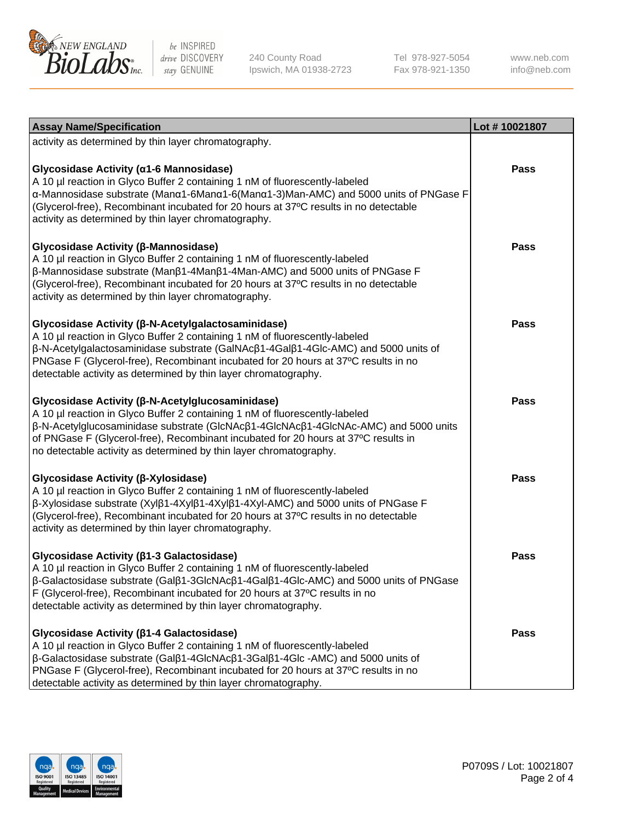

240 County Road Ipswich, MA 01938-2723 Tel 978-927-5054 Fax 978-921-1350

www.neb.com info@neb.com

| <b>Assay Name/Specification</b>                                                                                                                                                                                                                                                                                                                                                       | Lot #10021807 |
|---------------------------------------------------------------------------------------------------------------------------------------------------------------------------------------------------------------------------------------------------------------------------------------------------------------------------------------------------------------------------------------|---------------|
| activity as determined by thin layer chromatography.                                                                                                                                                                                                                                                                                                                                  |               |
| Glycosidase Activity (α1-6 Mannosidase)<br>A 10 µl reaction in Glyco Buffer 2 containing 1 nM of fluorescently-labeled<br>α-Mannosidase substrate (Μanα1-6Μanα1-6(Μanα1-3)Man-AMC) and 5000 units of PNGase F<br>(Glycerol-free), Recombinant incubated for 20 hours at 37°C results in no detectable<br>activity as determined by thin layer chromatography.                         | <b>Pass</b>   |
| Glycosidase Activity (β-Mannosidase)<br>A 10 µl reaction in Glyco Buffer 2 containing 1 nM of fluorescently-labeled<br>$\beta$ -Mannosidase substrate (Man $\beta$ 1-4Man $\beta$ 1-4Man-AMC) and 5000 units of PNGase F<br>(Glycerol-free), Recombinant incubated for 20 hours at 37°C results in no detectable<br>activity as determined by thin layer chromatography.              | <b>Pass</b>   |
| Glycosidase Activity (β-N-Acetylgalactosaminidase)<br>A 10 µl reaction in Glyco Buffer 2 containing 1 nM of fluorescently-labeled<br>β-N-Acetylgalactosaminidase substrate (GalNAcβ1-4Galβ1-4Glc-AMC) and 5000 units of<br>PNGase F (Glycerol-free), Recombinant incubated for 20 hours at 37°C results in no<br>detectable activity as determined by thin layer chromatography.      | <b>Pass</b>   |
| Glycosidase Activity (β-N-Acetylglucosaminidase)<br>A 10 µl reaction in Glyco Buffer 2 containing 1 nM of fluorescently-labeled<br>β-N-Acetylglucosaminidase substrate (GlcNAcβ1-4GlcNAcβ1-4GlcNAc-AMC) and 5000 units<br>of PNGase F (Glycerol-free), Recombinant incubated for 20 hours at 37°C results in<br>no detectable activity as determined by thin layer chromatography.    | <b>Pass</b>   |
| Glycosidase Activity (β-Xylosidase)<br>A 10 µl reaction in Glyco Buffer 2 containing 1 nM of fluorescently-labeled<br>$\beta$ -Xylosidase substrate (Xyl $\beta$ 1-4Xyl $\beta$ 1-4Xyl $\beta$ 1-4Xyl-AMC) and 5000 units of PNGase F<br>(Glycerol-free), Recombinant incubated for 20 hours at 37°C results in no detectable<br>activity as determined by thin layer chromatography. | <b>Pass</b>   |
| Glycosidase Activity (β1-3 Galactosidase)<br>A 10 µl reaction in Glyco Buffer 2 containing 1 nM of fluorescently-labeled<br>β-Galactosidase substrate (Galβ1-3GlcNAcβ1-4Galβ1-4Glc-AMC) and 5000 units of PNGase<br>F (Glycerol-free), Recombinant incubated for 20 hours at 37°C results in no<br>detectable activity as determined by thin layer chromatography.                    | <b>Pass</b>   |
| Glycosidase Activity ( $\beta$ 1-4 Galactosidase)<br>A 10 µl reaction in Glyco Buffer 2 containing 1 nM of fluorescently-labeled<br>β-Galactosidase substrate (Galβ1-4GlcNAcβ1-3Galβ1-4Glc -AMC) and 5000 units of<br>PNGase F (Glycerol-free), Recombinant incubated for 20 hours at 37°C results in no<br>detectable activity as determined by thin layer chromatography.           | <b>Pass</b>   |

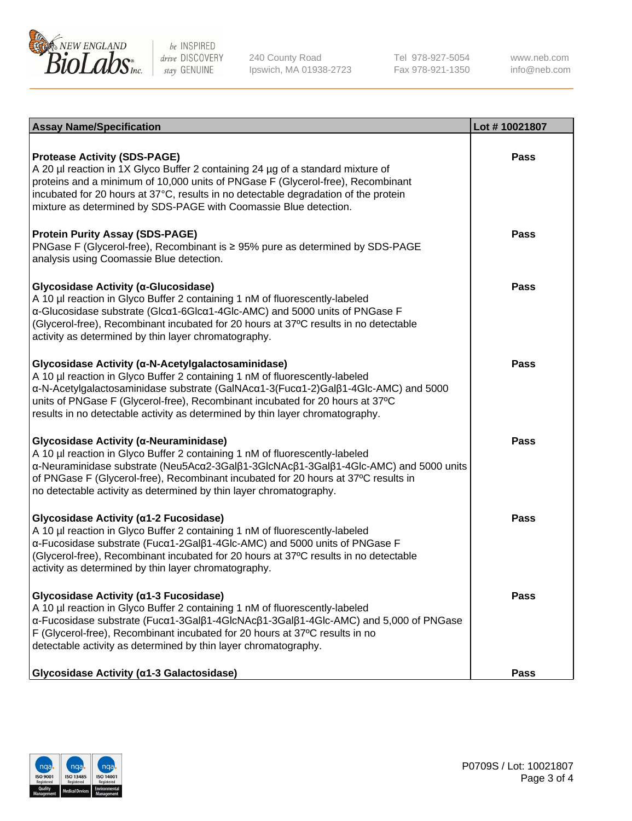

240 County Road Ipswich, MA 01938-2723 Tel 978-927-5054 Fax 978-921-1350

www.neb.com info@neb.com

| <b>Assay Name/Specification</b>                                                                                                                                                                                                                                                                                                                                                           | Lot #10021807 |
|-------------------------------------------------------------------------------------------------------------------------------------------------------------------------------------------------------------------------------------------------------------------------------------------------------------------------------------------------------------------------------------------|---------------|
| <b>Protease Activity (SDS-PAGE)</b><br>A 20 µl reaction in 1X Glyco Buffer 2 containing 24 µg of a standard mixture of<br>proteins and a minimum of 10,000 units of PNGase F (Glycerol-free), Recombinant<br>incubated for 20 hours at 37°C, results in no detectable degradation of the protein<br>mixture as determined by SDS-PAGE with Coomassie Blue detection.                      | Pass          |
| <b>Protein Purity Assay (SDS-PAGE)</b><br>PNGase F (Glycerol-free), Recombinant is ≥ 95% pure as determined by SDS-PAGE<br>analysis using Coomassie Blue detection.                                                                                                                                                                                                                       | Pass          |
| Glycosidase Activity (α-Glucosidase)<br>A 10 µl reaction in Glyco Buffer 2 containing 1 nM of fluorescently-labeled<br>α-Glucosidase substrate (Glcα1-6Glcα1-4Glc-AMC) and 5000 units of PNGase F<br>(Glycerol-free), Recombinant incubated for 20 hours at 37°C results in no detectable<br>activity as determined by thin layer chromatography.                                         | <b>Pass</b>   |
| Glycosidase Activity (α-N-Acetylgalactosaminidase)<br>A 10 µl reaction in Glyco Buffer 2 containing 1 nM of fluorescently-labeled<br>α-N-Acetylgalactosaminidase substrate (GalNAcα1-3(Fucα1-2)Galβ1-4Glc-AMC) and 5000<br>units of PNGase F (Glycerol-free), Recombinant incubated for 20 hours at 37°C<br>results in no detectable activity as determined by thin layer chromatography. | Pass          |
| Glycosidase Activity (α-Neuraminidase)<br>A 10 µl reaction in Glyco Buffer 2 containing 1 nM of fluorescently-labeled<br>α-Neuraminidase substrate (Neu5Acα2-3Galβ1-3GlcNAcβ1-3Galβ1-4Glc-AMC) and 5000 units<br>of PNGase F (Glycerol-free), Recombinant incubated for 20 hours at 37°C results in<br>no detectable activity as determined by thin layer chromatography.                 | <b>Pass</b>   |
| Glycosidase Activity (α1-2 Fucosidase)<br>A 10 µl reaction in Glyco Buffer 2 containing 1 nM of fluorescently-labeled<br>α-Fucosidase substrate (Fucα1-2Galβ1-4Glc-AMC) and 5000 units of PNGase F<br>(Glycerol-free), Recombinant incubated for 20 hours at 37°C results in no detectable<br>activity as determined by thin layer chromatography.                                        | <b>Pass</b>   |
| Glycosidase Activity (α1-3 Fucosidase)<br>A 10 µl reaction in Glyco Buffer 2 containing 1 nM of fluorescently-labeled<br>α-Fucosidase substrate (Fucα1-3Galβ1-4GlcNAcβ1-3Galβ1-4Glc-AMC) and 5,000 of PNGase<br>F (Glycerol-free), Recombinant incubated for 20 hours at 37°C results in no<br>detectable activity as determined by thin layer chromatography.                            | <b>Pass</b>   |
| Glycosidase Activity (a1-3 Galactosidase)                                                                                                                                                                                                                                                                                                                                                 | <b>Pass</b>   |